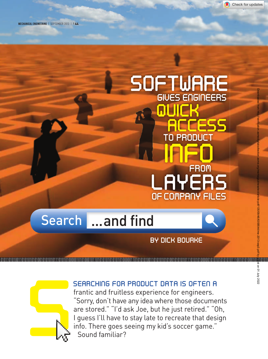

MECHANICAL ENGINEERING | SEPTEMBER 2013 | P.44

# Search ...and find *GIVES ENGINEERS SOFTWARE QUICK ACCESS LAYERS INFO TO\PRODUCT OF COMPANY FILES FROM* EMPLERS TO PRODUCT DATA IS OTHER SEARCHING FOR PRODUCT DATA IS OTHER DIRECTION.<br>
SEARCHING FOR PRODUCT DATA IS OTHER DIRECTION.<br>
SEARCHING FOR PRODUCT DATA IS OTHER DIRECTION.<br>
Searchand finition is experience for organism

## *BY DICK BOURKE*

011010101101010011010101010100101010101110101010000010101000101101010101010101010000011010101010011010101010100101010101110101010000010101010101010111001010100010101010100101010101101



## *Searching for product data is often a*

frantic and fruitless experience for engineers. "Sorry, don't have any idea where those documents are stored." "I'd ask Joe, but he just retired." "Oh, I guess I'll have to stay late to recreate that design info. There goes seeing my kid's soccer game." Sound familiar?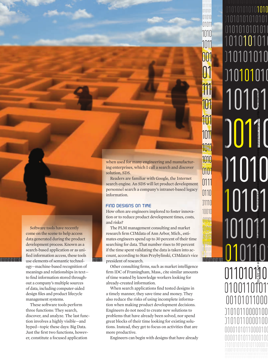0<br>1 1010101011 1010101010101010110101 01010101010101 <u>0</u> 010101010 10101 0 00110 1101010 1010 **010101** 101011 010101010101011 001010101010101<br>010101010101011<br>01010101011 101010101010101010913MEM\_SearchandFind.indd 45 8/5/13 2:36 PM Downloaded from http://verification.asmedigitalcollection.asme.org/memagazineselect/article-pdf/135/09/46/6358544/me-2013-sep3.pdf by guest on 01 July 2022

10101010101010101010101010101 01 010101010101010

1010101010101010101010101010

1010

1011

001

01

111

101

<sup>10</sup><sub>111</sub></sub> 1010101010101

011011

0<br>01 0101<br>01010110101101

01010 10101

1010

1011

1011

101

0101

0111

0110

10010 01110

011101 01011

 $\frac{1}{10}$  01

0100110101

00101011000

1010110000100 100000100

10101010101100001

00001010110000100

Software tools have recently come on the scene to help access data generated during the product development process. Known as a search-based application or as unified information access, these tools ogy—machine-based recognition of meanings and relationships in text to find information stored throughout a company's multiple sources of data, including computer-aided design files and product lifecycle management systems.

These software tools perform three functions: They search, discover, and analyze. The last function involves a highly visible—and hyped—topic these days: Big Data. Just the first two functions, however, constitute a focused application

when used for many engineering and manufacturing enterprises, which I call a search and discover solution, SDS.

Readers are familiar with Google, the Internet search engine. An SDS will let product development personnel search a company's intranet-based legacy information.

#### *FIND DESIGNS ON TIME*

How often are engineers implored to foster innovation or to reduce product development times, costs, and risks?

001010101011011 use elements of semantic technol- 000110 president of research. The PLM management consulting and market research firm CIMdata of Ann Arbor, Mich., estimates engineers spend up to 30 percent of their time searching for data. That number rises to 50 percent if the time spent validating the data is taken into account, according to Stan Przybylinski, CIMdata's vice president of research.

> Other consulting firms, such as market intelligence firm IDC of Framingham, Mass., cite similar amounts of time wasted by knowledge workers looking for already-created information.

> When search applications find tested designs in a timely manner, they save time and money. They also reduce the risks of using incomplete information when making product development decisions. Engineers do not need to create new solutions to problems that have already been solved, nor spend great blocks of their time looking for existing solutions. Instead, they get to focus on activities that are more productive.

Engineers can begin with designs that have already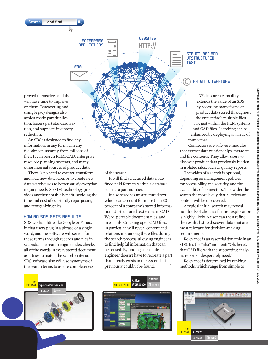Search ...and find

*EMAIL*

*APPLICATIONS*

proved themselves and then will have time to improve on them. Discovering and using legacy designs also avoids costly part duplication, fosters part standardization, and supports inventory reduction.

An SDS is designed to find any information, in any format, in any file, almost instantly, from millions of files. It can search PLM, CAD, enterprise resource planning systems, and many other internal sources of product data.

There is no need to extract, transform, and load new databases or to create new data warehouses to better satisfy everyday inquiry needs. So SDS technology provides another notable benefit: avoiding the time and cost of constantly repurposing and reorganizing files.

#### *HOW AN SDS GETS RESULTS*

SDS works a little like Google or Yahoo, in that users plug in a phrase or a single word, and the software will search for these terms through records and files in seconds. The search engine index checks all of the words in every stored document as it tries to match the search criteria. SDS software also will use synonyms of the search terms to assure completeness

of the search.

*WEBSITES ENTERPRISE* 

τ. ΞΠ

It will find structured data in defined field formats within a database, such as a part number.

**HTTP://**

It also searches unstructured text, which can account for more than 80 percent of a company's stored information. Unstructured text exists in CAD, Word, portable document files, and in e-mails. Cracking open CAD files, in particular, will reveal content and relationships among these files during the search process, allowing engineers to find helpful information that can be reused. By finding such a file, an engineer doesn't have to recreate a part that already exists in the system but previously couldn't be found.

#### *STRUCTURED AND UNSTRUCTURED TEXT*

### $\odot$ *PATENT LITERATURE*

Wide search capability extends the value of an SDS by accessing many forms of product data stored throughout the enterprise's multiple files, not just within the PLM systems and CAD files. Searching can be enhanced by deploying an array of connectors.

Connectors are software modules that extract data relationships, metadata, and file contents. They allow users to discover product data previously hidden in isolated silos, such as quality reports.

The width of a search is optional, depending on management policies for accessibility and security, and the availability of connectors. The wider the search the more likely that all relevant content will be discovered.

A typical initial search may reveal hundreds of choices; further exploration is highly likely. A user can then refine the results list to discover data that are most relevant for decision-making requirements.

Relevance is an essential dynamic in an SDS. It's the "aha" moment: "Oh, here's that CAD file with the supporting analysis reports I desperately need."

Relevance is determined by ranking methods, which range from simple to